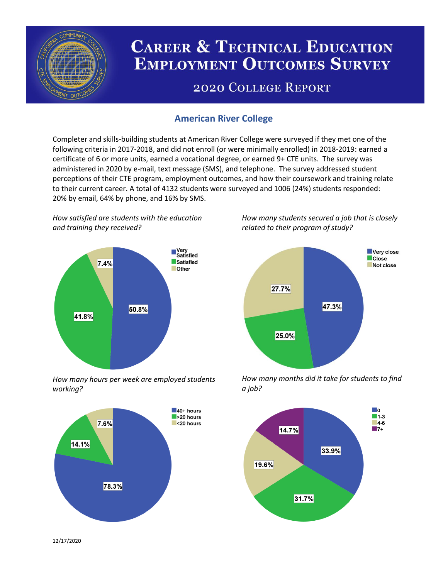

# **CAREER & TECHNICAL EDUCATION EMPLOYMENT OUTCOMES SURVEY**

## **2020 COLLEGE REPORT**

## **American River College**

Completer and skills-building students at American River College were surveyed if they met one of the following criteria in 2017-2018, and did not enroll (or were minimally enrolled) in 2018-2019: earned a certificate of 6 or more units, earned a vocational degree, or earned 9+ CTE units. The survey was administered in 2020 by e-mail, text message (SMS), and telephone. The survey addressed student perceptions of their CTE program, employment outcomes, and how their coursework and training relate to their current career. A total of 4132 students were surveyed and 1006 (24%) students responded: 20% by email, 64% by phone, and 16% by SMS.

*How satisfied are students with the education and training they received?*



*How many hours per week are employed students working?*



*How many students secured a job that is closely related to their program of study?*



*How many months did it take for students to find a job?*



12/17/2020